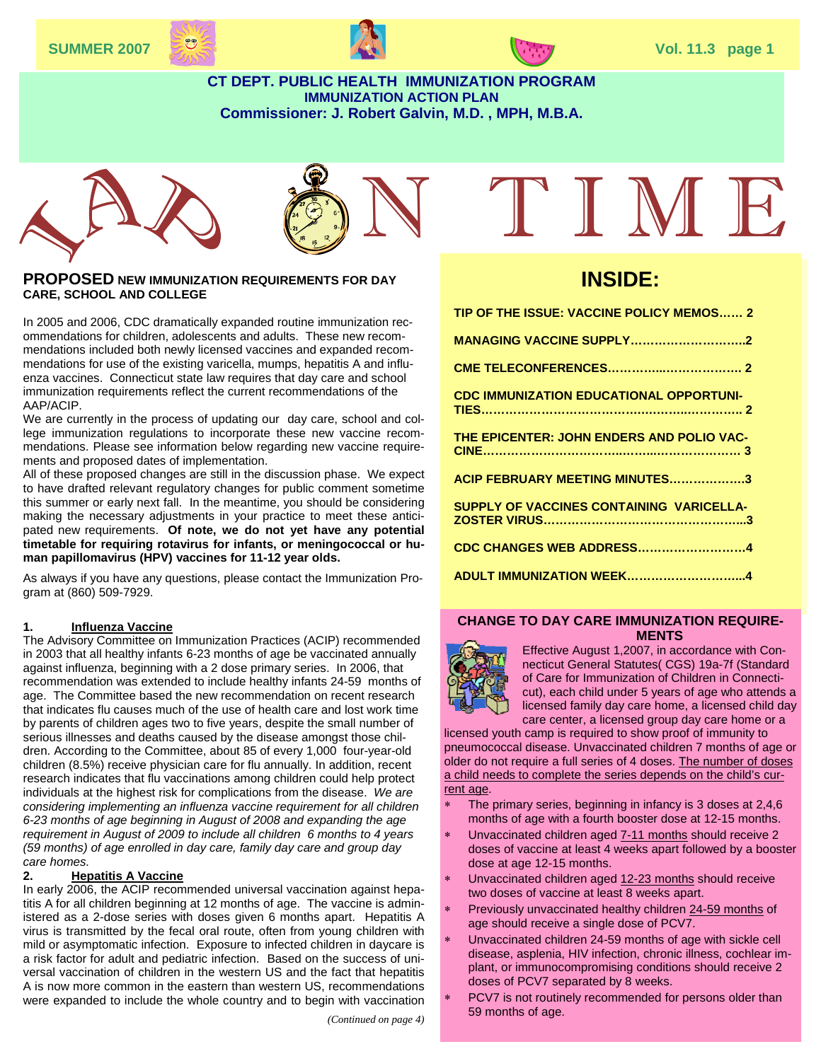



#### **CT DEPT. PUBLIC HEALTH IMMUNIZATION PROGRAM IMMUNIZATION ACTION PLAN Commissioner: J. Robert Galvin, M.D. , MPH, M.B.A.**





#### **PROPOSED NEW IMMUNIZATION REQUIREMENTS FOR DAY CARE, SCHOOL AND COLLEGE**

mendations included both newly licensed vaccines and expanded recom-<br>mendations for use of the avisting variable, mumps, hangtitie A and influ-In 2005 and 2006, CDC dramatically expanded routine immunization recommendations for children, adolescents and adults. These new recommendations for use of the existing varicella, mumps, hepatitis A and influenza vaccines. Connecticut state law requires that day care and school immunization requirements reflect the current recommendations of the AAP/ACIP.

We are currently in the process of updating our day care, school and college immunization regulations to incorporate these new vaccine recommendations. Please see information below regarding new vaccine requirements and proposed dates of implementation.

All of these proposed changes are still in the discussion phase. We expect to have drafted relevant regulatory changes for public comment sometime this summer or early next fall. In the meantime, you should be considering making the necessary adjustments in your practice to meet these anticipated new requirements. **Of note, we do not yet have any potential timetable for requiring rotavirus for infants, or meningococcal or human papillomavirus (HPV) vaccines for 11-12 year olds.** 

As always if you have any questions, please contact the Immunization Program at (860) 509-7929.

#### **1. Influenza Vaccine**

The Advisory Committee on Immunization Practices (ACIP) recommended in 2003 that all healthy infants 6-23 months of age be vaccinated annually against influenza, beginning with a 2 dose primary series. In 2006, that recommendation was extended to include healthy infants 24-59 months of age. The Committee based the new recommendation on recent research that indicates flu causes much of the use of health care and lost work time by parents of children ages two to five years, despite the small number of serious illnesses and deaths caused by the disease amongst those children. According to the Committee, about 85 of every 1,000 four-year-old children (8.5%) receive physician care for flu annually. In addition, recent research indicates that flu vaccinations among children could help protect individuals at the highest risk for complications from the disease. *We are considering implementing an influenza vaccine requirement for all children 6-23 months of age beginning in August of 2008 and expanding the age requirement in August of 2009 to include all children 6 months to 4 years (59 months) of age enrolled in day care, family day care and group day care homes.* 

#### **2. Hepatitis A Vaccine**

In early 2006, the ACIP recommended universal vaccination against hepatitis A for all children beginning at 12 months of age. The vaccine is administered as a 2-dose series with doses given 6 months apart. Hepatitis A virus is transmitted by the fecal oral route, often from young children with mild or asymptomatic infection. Exposure to infected children in daycare is a risk factor for adult and pediatric infection. Based on the success of universal vaccination of children in the western US and the fact that hepatitis A is now more common in the eastern than western US, recommendations were expanded to include the whole country and to begin with vaccination

*(Continued on page 4)* 

# I'I M E

# **INSIDE:**

| TIP OF THE ISSUE: VACCINE POLICY MEMOS 2       |
|------------------------------------------------|
| <b>MANAGING VACCINE SUPPLY2</b>                |
|                                                |
| <b>CDC IMMUNIZATION EDUCATIONAL OPPORTUNI-</b> |
| THE EPICENTER: JOHN ENDERS AND POLIO VAC-      |
| ACIP FEBRUARY MEETING MINUTES3                 |
| SUPPLY OF VACCINES CONTAINING VARICELLA-       |
| <b>CDC CHANGES WEB ADDRESS4</b>                |
| ADULT IMMUNIZATION WEEK4                       |
|                                                |

#### **CHANGE TO DAY CARE IMMUNIZATION REQUIRE-MENTS**



Effective August 1,2007, in accordance with Connecticut General Statutes( CGS) 19a-7f (Standard of Care for Immunization of Children in Connecticut), each child under 5 years of age who attends a licensed family day care home, a licensed child day care center, a licensed group day care home or a

licensed youth camp is required to show proof of immunity to pneumococcal disease. Unvaccinated children 7 months of age or older do not require a full series of 4 doses. The number of doses a child needs to complete the series depends on the child's current age.

- The primary series, beginning in infancy is 3 doses at 2,4,6 months of age with a fourth booster dose at 12-15 months.
- Unvaccinated children aged 7-11 months should receive 2 doses of vaccine at least 4 weeks apart followed by a booster dose at age 12-15 months.
- Unvaccinated children aged 12-23 months should receive two doses of vaccine at least 8 weeks apart.
- Previously unvaccinated healthy children 24-59 months of age should receive a single dose of PCV7.
- Unvaccinated children 24-59 months of age with sickle cell disease, asplenia, HIV infection, chronic illness, cochlear implant, or immunocompromising conditions should receive 2 doses of PCV7 separated by 8 weeks.
- PCV7 is not routinely recommended for persons older than 59 months of age.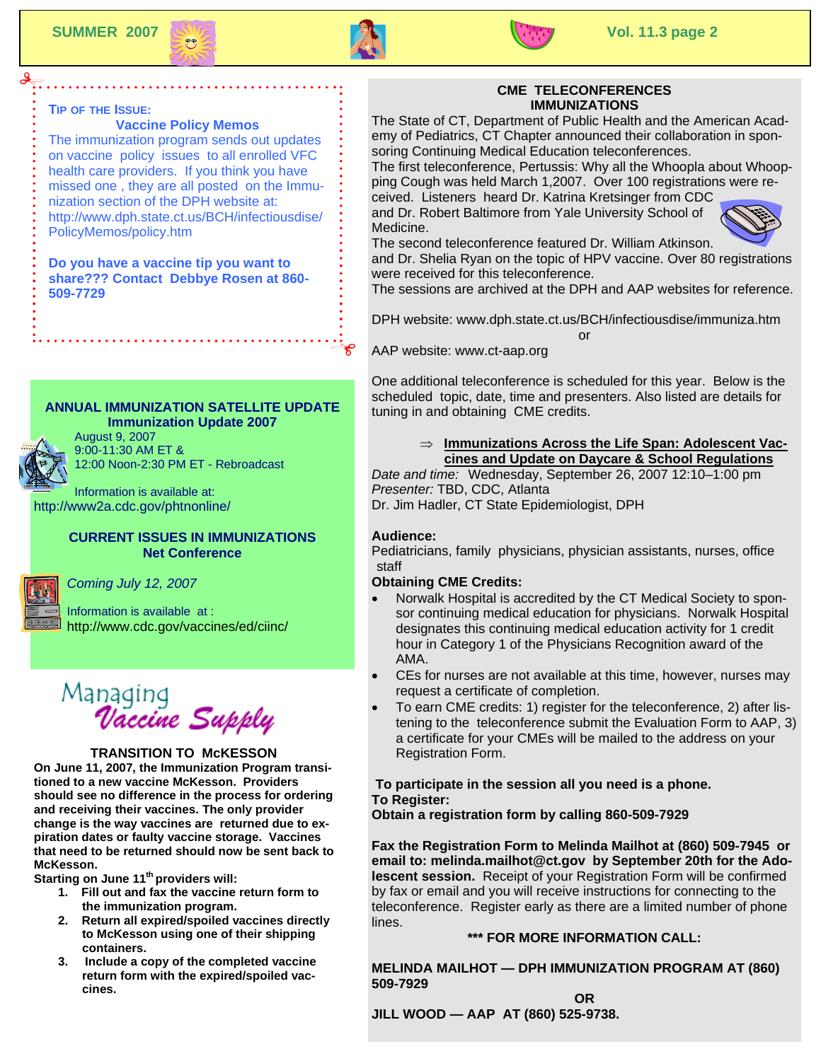



#### **TIP OF THE ISSUE:**

#### **Vaccine Policy Memos**

The immunization program sends out updates on vaccine policy issues to all enrolled VFC health care providers. If you think you have missed one , they are all posted on the Immunization section of the DPH website at: http://www.dph.state.ct.us/BCH/infectiousdise/ PolicyMemos/policy.htm

**Do you have a vaccine tip you want to share??? Contact Debbye Rosen at 860- 509-7729**

#### **ANNUAL IMMUNIZATION SATELLITE UPDATE Immunization Update 2007**



August 9, 2007 9:00-11:30 AM ET & 12:00 Noon-2:30 PM ET - Rebroadcast

Information is available at: http://www2a.cdc.gov/phtnonline/

#### **CURRENT ISSUES IN IMMUNIZATIONS Net Conference**



*Coming July 12, 2007*

Information is available at : http://www.cdc.gov/vaccines/ed/ciinc/



#### **TRANSITION TO McKESSON**

**On June 11, 2007, the Immunization Program transitioned to a new vaccine McKesson. Providers should see no difference in the process for ordering and receiving their vaccines. The only provider change is the way vaccines are returned due to expiration dates or faulty vaccine storage. Vaccines that need to be returned should now be sent back to McKesson.** 

**Starting on June 11<sup>th</sup> providers will:** 

- **1. Fill out and fax the vaccine return form to the immunization program.**
- **2. Return all expired/spoiled vaccines directly to McKesson using one of their shipping containers.**
- **3. Include a copy of the completed vaccine return form with the expired/spoiled vaccines.**

#### **CME TELECONFERENCES IMMUNIZATIONS**

The State of CT, Department of Public Health and the American Academy of Pediatrics, CT Chapter announced their collaboration in sponsoring Continuing Medical Education teleconferences.

The first teleconference, Pertussis: Why all the Whoopla about Whoopping Cough was held March 1,2007. Over 100 registrations were received. Listeners heard Dr. Katrina Kretsinger from CDC

and Dr. Robert Baltimore from Yale University School of Medicine.



The second teleconference featured Dr. William Atkinson. and Dr. Shelia Ryan on the topic of HPV vaccine. Over 80 registrations

were received for this teleconference.

The sessions are archived at the DPH and AAP websites for reference.

DPH website: www.dph.state.ct.us/BCH/infectiousdise/immuniza.htm or

AAP website: www.ct-aap.org

One additional teleconference is scheduled for this year. Below is the scheduled topic, date, time and presenters. Also listed are details for tuning in and obtaining CME credits.

#### ⇒ **Immunizations Across the Life Span: Adolescent Vaccines and Update on Daycare & School Regulations**

*Date and time:* Wednesday, September 26, 2007 12:10–1:00 pm *Presenter:* TBD, CDC, Atlanta

Dr. Jim Hadler, CT State Epidemiologist, DPH

#### **Audience:**

Pediatricians, family physicians, physician assistants, nurses, office staff

#### **Obtaining CME Credits:**

- Norwalk Hospital is accredited by the CT Medical Society to sponsor continuing medical education for physicians. Norwalk Hospital designates this continuing medical education activity for 1 credit hour in Category 1 of the Physicians Recognition award of the AMA.
- CEs for nurses are not available at this time, however, nurses may request a certificate of completion.
- To earn CME credits: 1) register for the teleconference, 2) after listening to the teleconference submit the Evaluation Form to AAP, 3) a certificate for your CMEs will be mailed to the address on your Registration Form.

#### **To participate in the session all you need is a phone. To Register:**

**Obtain a registration form by calling 860-509-7929** 

**Fax the Registration Form to Melinda Mailhot at (860) 509-7945 or email to: melinda.mailhot@ct.gov by September 20th for the Adolescent session.** Receipt of your Registration Form will be confirmed by fax or email and you will receive instructions for connecting to the teleconference. Register early as there are a limited number of phone lines.

#### **\*\*\* FOR MORE INFORMATION CALL:**

**MELINDA MAILHOT — DPH IMMUNIZATION PROGRAM AT (860) 509-7929 OR** 

**JILL WOOD — AAP AT (860) 525-9738.**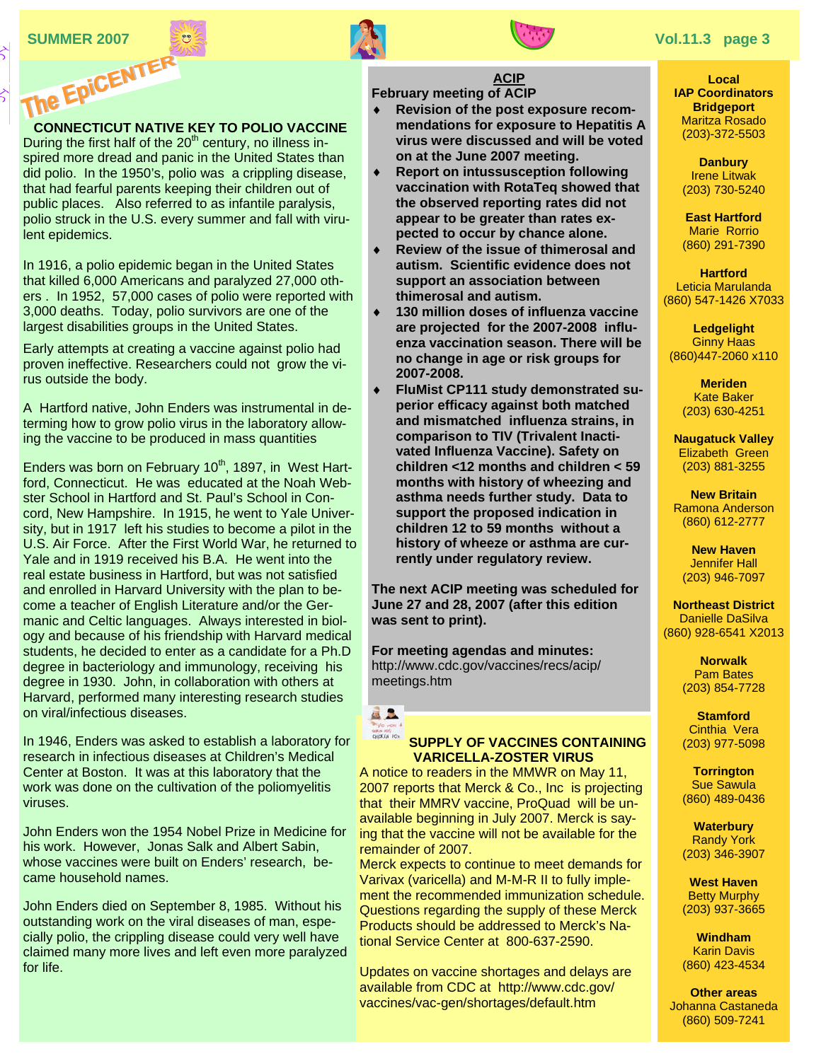⊰

## **CONNECTICUT NATIVE KEY TO POLIO VACCINE**

During the first half of the  $20<sup>th</sup>$  century, no illness inspired more dread and panic in the United States than did polio. In the 1950's, polio was a crippling disease, that had fearful parents keeping their children out of public places. Also referred to as infantile paralysis, polio struck in the U.S. every summer and fall with virulent epidemics.

In 1916, a polio epidemic began in the United States that killed 6,000 Americans and paralyzed 27,000 others . In 1952, 57,000 cases of polio were reported with 3,000 deaths. Today, polio survivors are one of the largest disabilities groups in the United States.

Early attempts at creating a vaccine against polio had proven ineffective. Researchers could not grow the virus outside the body.

A Hartford native, John Enders was instrumental in determing how to grow polio virus in the laboratory allowing the vaccine to be produced in mass quantities

Enders was born on February  $10<sup>th</sup>$ , 1897, in West Hartford, Connecticut. He was educated at the Noah Webster School in Hartford and St. Paul's School in Concord, New Hampshire. In 1915, he went to Yale University, but in 1917 left his studies to become a pilot in the U.S. Air Force. After the First World War, he returned to Yale and in 1919 received his B.A. He went into the real estate business in Hartford, but was not satisfied and enrolled in Harvard University with the plan to become a teacher of English Literature and/or the Germanic and Celtic languages. Always interested in biology and because of his friendship with Harvard medical students, he decided to enter as a candidate for a Ph.D degree in bacteriology and immunology, receiving his degree in 1930. John, in collaboration with others at Harvard, performed many interesting research studies on viral/infectious diseases.

In 1946, Enders was asked to establish a laboratory for research in infectious diseases at Children's Medical Center at Boston. It was at this laboratory that the work was done on the cultivation of the poliomyelitis viruses.

John Enders won the 1954 Nobel Prize in Medicine for his work. However, Jonas Salk and Albert Sabin, whose vaccines were built on Enders' research, became household names.

John Enders died on September 8, 1985. Without his outstanding work on the viral diseases of man, especially polio, the crippling disease could very well have claimed many more lives and left even more paralyzed for life.



#### **ACIP February meeting of ACIP**

- **SUMMER 2007**<br> **SUMMER 2007**<br> **SUMMER 2007**<br> **SUMMER 2007**<br> **SUMMER 2007**<br> **SUMMER 2007**<br> **SUMMER 2007**<br> **SUMMER 2007**<br> **SUMMER 2007**<br> **SUMMER 2007**<br> **SUMMER 2007 Revision of the post exposure recommendations for exposure to Hepatitis A virus were discussed and will be voted on at the June 2007 meeting.**
	- **Report on intussusception following vaccination with RotaTeq showed that the observed reporting rates did not appear to be greater than rates expected to occur by chance alone.**
	- **Review of the issue of thimerosal and autism. Scientific evidence does not support an association between thimerosal and autism.**
	- 130 million doses of influenza vaccine **are projected for the 2007-2008 influenza vaccination season. There will be no change in age or risk groups for 2007-2008.**
	- **FluMist CP111 study demonstrated superior efficacy against both matched and mismatched influenza strains, in comparison to TIV (Trivalent Inactivated Influenza Vaccine). Safety on children <12 months and children < 59 months with history of wheezing and asthma needs further study. Data to support the proposed indication in children 12 to 59 months without a history of wheeze or asthma are currently under regulatory review.**

**The next ACIP meeting was scheduled for June 27 and 28, 2007 (after this edition was sent to print).** 

**For meeting agendas and minutes:**  http://www.cdc.gov/vaccines/recs/acip/ meetings.htm

## 星上 CHICKEN FOX

#### **SUPPLY OF VACCINES CONTAINING VARICELLA-ZOSTER VIRUS**

A notice to readers in the MMWR on May 11, 2007 reports that Merck & Co., Inc is projecting that their MMRV vaccine, ProQuad will be unavailable beginning in July 2007. Merck is saying that the vaccine will not be available for the remainder of 2007.

Merck expects to continue to meet demands for Varivax (varicella) and M-M-R II to fully implement the recommended immunization schedule. Questions regarding the supply of these Merck Products should be addressed to Merck's National Service Center at 800-637-2590.

Updates on vaccine shortages and delays are available from CDC at http://www.cdc.gov/ vaccines/vac-gen/shortages/default.htm

**Local IAP Coordinators Bridgeport**  Maritza Rosado (203)-372-5503

> **Danbury**  Irene Litwak (203) 730-5240

> **East Hartford**  Marie Rorrio (860) 291-7390

**Hartford**  Leticia Marulanda (860) 547-1426 X7033

**Ledgelight**  Ginny Haas (860)447-2060 x110

> **Meriden**  Kate Baker (203) 630-4251

**Naugatuck Valley**  Elizabeth Green (203) 881-3255

**New Britain**  Ramona Anderson (860) 612-2777

**New Haven**  Jennifer Hall (203) 946-7097

**Northeast District**  Danielle DaSilva (860) 928-6541 X2013

> **Norwalk**  Pam Bates (203) 854-7728

**Stamford**  Cinthia Vera (203) 977-5098

**Torrington**  Sue Sawula (860) 489-0436

**Waterbury**  Randy York (203) 346-3907

**West Haven**  Betty Murphy (203) 937-3665

**Windham**  Karin Davis (860) 423-4534

**Other areas**  Johanna Castaneda (860) 509-7241